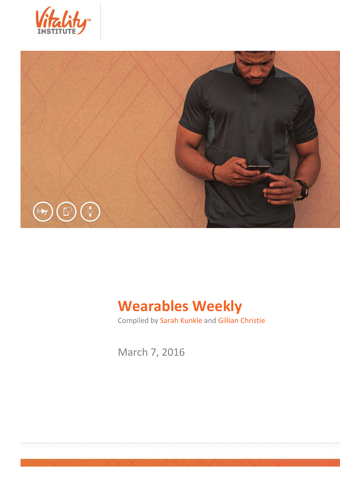



# **Wearables Weekly**

Compiled by Sarah Kunkle and Gillian Christie

March 7, 2016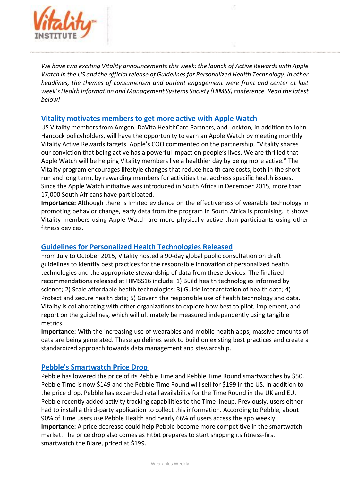

*We have two exciting Vitality announcements this week: the launch of Active Rewards with Apple Watch in the US and the official release of Guidelines for Personalized Health Technology. In other headlines, the themes of consumerism and patient engagement were front and center at last week's Health Information and Management Systems Society (HIMSS) conference. Read the latest below!*

#### **[Vitality motivates members to get more active with Apple Watch](http://www.prnewswire.com/news-releases/vitality-motivates-members-to-get-more-active-with-apple-watch-300229268.html)**

US Vitality members from Amgen, DaVita HealthCare Partners, and Lockton, in addition to John Hancock policyholders, will have the opportunity to earn an Apple Watch by meeting monthly Vitality Active Rewards targets. Apple's COO commented on the partnership, "Vitality shares our conviction that being active has a powerful impact on people's lives. We are thrilled that Apple Watch will be helping Vitality members live a healthier day by being more active." The Vitality program encourages lifestyle changes that reduce health care costs, both in the short run and long term, by rewarding members for activities that address specific health issues. Since the Apple Watch initiative was introduced in South Africa in December 2015, more than 17,000 South Africans have participated.

**Importance:** Although there is limited evidence on the effectiveness of wearable technology in promoting behavior change, early data from the program in South Africa is promising. It shows Vitality members using Apple Watch are more physically active than participants using other fitness devices.

### **[Guidelines for Personalized Health Technologies Released](http://thevitalityinstitute.org/GuidelinesReleaseMarch2016)**

From July to October 2015, Vitality hosted a 90-day global public consultation on draft guidelines to identify best practices for the responsible innovation of personalized health technologies and the appropriate stewardship of data from these devices. The finalized recommendations released at HIMSS16 include: 1) Build health technologies informed by science; 2) Scale affordable health technologies; 3) Guide interpretation of health data; 4) Protect and secure health data; 5) Govern the responsible use of health technology and data. Vitality is collaborating with other organizations to explore how best to pilot, implement, and report on the guidelines, which will ultimately be measured independently using tangible metrics.

**Importance:** With the increasing use of wearables and mobile health apps, massive amounts of data are being generated. These guidelines seek to build on existing best practices and create a standardized approach towards data management and stewardship.

### **[Pebble's Smartwatch Price Drop](http://fortune.com/2016/03/01/pebble-time-price-drop/)**

Pebble has lowered the price of its Pebble Time and Pebble Time Round smartwatches by \$50. Pebble Time is now \$149 and the Pebble Time Round will sell for \$199 in the US. In addition to the price drop, Pebble has expanded retail availability for the Time Round in the UK and EU. Pebble recently added activity tracking capabilities to the Time lineup. Previously, users either had to install a third-party application to collect this information. According to Pebble, about 90% of Time users use Pebble Health and nearly 66% of users access the app weekly. **Importance:** A price decrease could help Pebble become more competitive in the smartwatch market. The price drop also comes as Fitbit prepares to start shipping its fitness-first smartwatch the Blaze, priced at \$199.